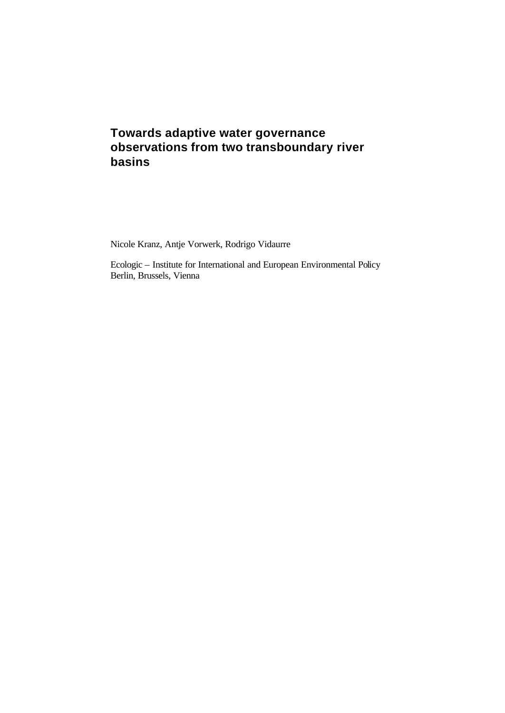# **Towards adaptive water governance observations from two transboundary river basins**

Nicole Kranz, Antje Vorwerk, Rodrigo Vidaurre

Ecologic – Institute for International and European Environmental Policy Berlin, Brussels, Vienna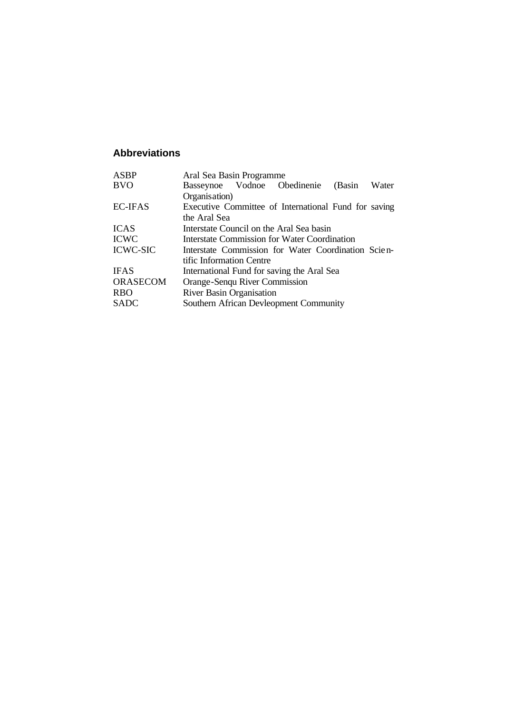## **Abbreviations**

| <b>ASBP</b>     | Aral Sea Basin Programme                             |       |
|-----------------|------------------------------------------------------|-------|
| <b>BVO</b>      | Basseynoe Vodnoe Obedinenie<br>(Basin                | Water |
|                 | Organisation)                                        |       |
| <b>EC-IFAS</b>  | Executive Committee of International Fund for saving |       |
|                 | the Aral Sea                                         |       |
| <b>ICAS</b>     | Interstate Council on the Aral Sea basin             |       |
| <b>ICWC</b>     | Interstate Commission for Water Coordination         |       |
| <b>ICWC-SIC</b> | Interstate Commission for Water Coordination Scien-  |       |
|                 | tific Information Centre                             |       |
| <b>IFAS</b>     | International Fund for saving the Aral Sea           |       |
| <b>ORASECOM</b> | Orange-Senqu River Commission                        |       |
| <b>RBO</b>      | <b>River Basin Organisation</b>                      |       |
| <b>SADC</b>     | Southern African Devleopment Community               |       |
|                 |                                                      |       |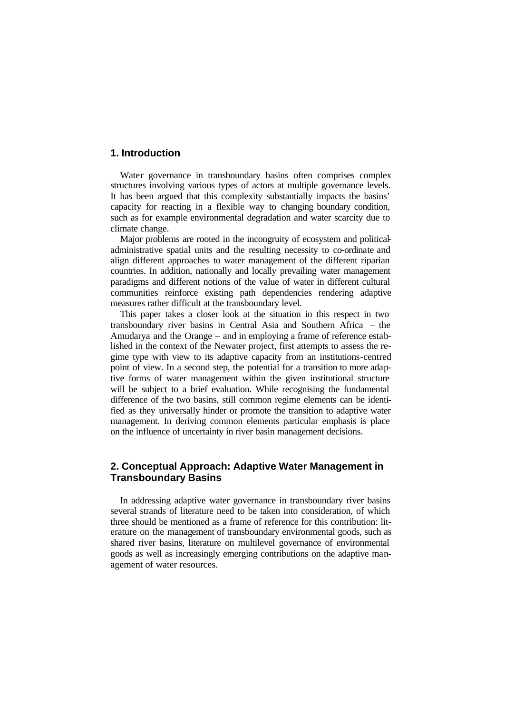### **1. Introduction**

Water governance in transboundary basins often comprises complex structures involving various types of actors at multiple governance levels. It has been argued that this complexity substantially impacts the basins' capacity for reacting in a flexible way to changing boundary condition, such as for example environmental degradation and water scarcity due to climate change.

Major problems are rooted in the incongruity of ecosystem and politicaladministrative spatial units and the resulting necessity to co-ordinate and align different approaches to water management of the different riparian countries. In addition, nationally and locally prevailing water management paradigms and different notions of the value of water in different cultural communities reinforce existing path dependencies rendering adaptive measures rather difficult at the transboundary level.

This paper takes a closer look at the situation in this respect in two transboundary river basins in Central Asia and Southern Africa – the Amudarya and the Orange – and in employing a frame of reference established in the context of the Newater project, first attempts to assess the regime type with view to its adaptive capacity from an institutions-centred point of view. In a second step, the potential for a transition to more adaptive forms of water management within the given institutional structure will be subject to a brief evaluation. While recognising the fundamental difference of the two basins, still common regime elements can be identified as they universally hinder or promote the transition to adaptive water management. In deriving common elements particular emphasis is place on the influence of uncertainty in river basin management decisions.

### **2. Conceptual Approach: Adaptive Water Management in Transboundary Basins**

In addressing adaptive water governance in transboundary river basins several strands of literature need to be taken into consideration, of which three should be mentioned as a frame of reference for this contribution: literature on the management of transboundary environmental goods, such as shared river basins, literature on multilevel governance of environmental goods as well as increasingly emerging contributions on the adaptive management of water resources.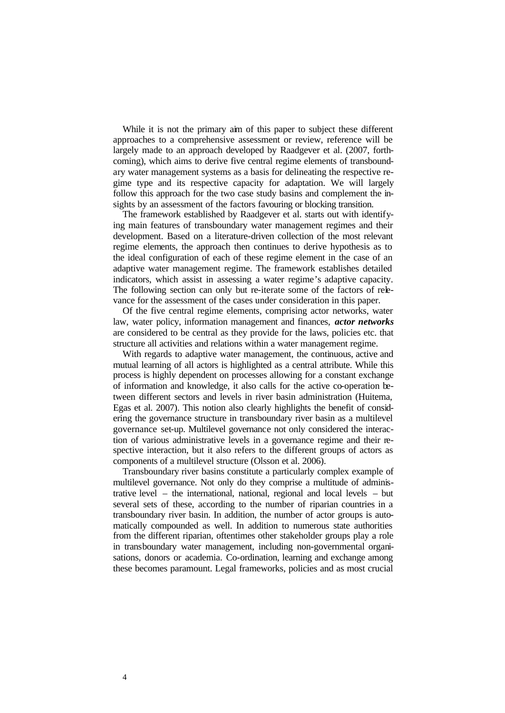While it is not the primary aim of this paper to subject these different approaches to a comprehensive assessment or review, reference will be largely made to an approach developed by Raadgever et al. (2007, forthcoming), which aims to derive five central regime elements of transboundary water management systems as a basis for delineating the respective regime type and its respective capacity for adaptation. We will largely follow this approach for the two case study basins and complement the insights by an assessment of the factors favouring or blocking transition.

The framework established by Raadgever et al. starts out with identifying main features of transboundary water management regimes and their development. Based on a literature-driven collection of the most relevant regime elements, the approach then continues to derive hypothesis as to the ideal configuration of each of these regime element in the case of an adaptive water management regime. The framework establishes detailed indicators, which assist in assessing a water regime's adaptive capacity. The following section can only but re-iterate some of the factors of relevance for the assessment of the cases under consideration in this paper.

Of the five central regime elements, comprising actor networks, water law, water policy, information management and finances, *actor networks* are considered to be central as they provide for the laws, policies etc. that structure all activities and relations within a water management regime.

With regards to adaptive water management, the continuous, active and mutual learning of all actors is highlighted as a central attribute. While this process is highly dependent on processes allowing for a constant exchange of information and knowledge, it also calls for the active co-operation between different sectors and levels in river basin administration (Huitema, Egas et al. 2007). This notion also clearly highlights the benefit of considering the governance structure in transboundary river basin as a multilevel governance set-up. Multilevel governance not only considered the interaction of various administrative levels in a governance regime and their respective interaction, but it also refers to the different groups of actors as components of a multilevel structure (Olsson et al. 2006).

Transboundary river basins constitute a particularly complex example of multilevel governance. Not only do they comprise a multitude of administrative level – the international, national, regional and local levels – but several sets of these, according to the number of riparian countries in a transboundary river basin. In addition, the number of actor groups is automatically compounded as well. In addition to numerous state authorities from the different riparian, oftentimes other stakeholder groups play a role in transboundary water management, including non-governmental organisations, donors or academia. Co-ordination, learning and exchange among these becomes paramount. Legal frameworks, policies and as most crucial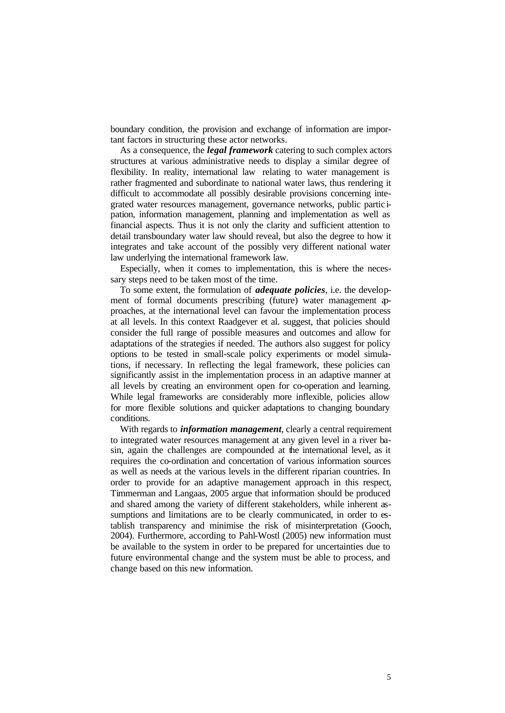boundary condition, the provision and exchange of information are important factors in structuring these actor networks.

As a consequence, the *legal framework* catering to such complex actors structures at various administrative needs to display a similar degree of flexibility. In reality, international law relating to water management is rather fragmented and subordinate to national water laws, thus rendering it difficult to accommodate all possibly desirable provisions concerning integrated water resources management, governance networks, public partic ipation, information management, planning and implementation as well as financial aspects. Thus it is not only the clarity and sufficient attention to detail transboundary water law should reveal, but also the degree to how it integrates and take account of the possibly very different national water law underlying the international framework law.

Especially, when it comes to implementation, this is where the necessary steps need to be taken most of the time.

To some extent, the formulation of *adequate policies*, i.e. the development of formal documents prescribing (future) water management approaches, at the international level can favour the implementation process at all levels. In this context Raadgever et al. suggest, that policies should consider the full range of possible measures and outcomes and allow for adaptations of the strategies if needed. The authors also suggest for policy options to be tested in small-scale policy experiments or model simulations, if necessary. In reflecting the legal framework, these policies can significantly assist in the implementation process in an adaptive manner at all levels by creating an environment open for co-operation and learning. While legal frameworks are considerably more inflexible, policies allow for more flexible solutions and quicker adaptations to changing boundary conditions.

With regards to *information management*, clearly a central requirement to integrated water resources management at any given level in a river basin, again the challenges are compounded at the international level, as it requires the co-ordination and concertation of various information sources as well as needs at the various levels in the different riparian countries. In order to provide for an adaptive management approach in this respect, Timmerman and Langaas, 2005 argue that information should be produced and shared among the variety of different stakeholders, while inherent assumptions and limitations are to be clearly communicated, in order to establish transparency and minimise the risk of misinterpretation (Gooch, 2004). Furthermore, according to Pahl-Wostl (2005) new information must be available to the system in order to be prepared for uncertainties due to future environmental change and the system must be able to process, and change based on this new information.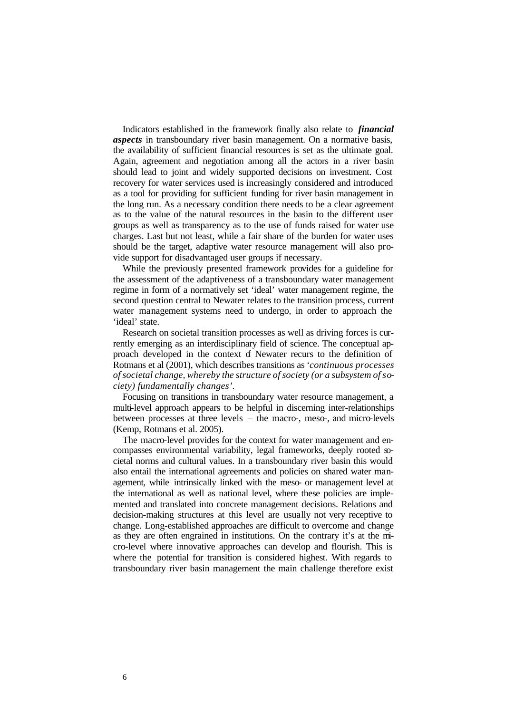Indicators established in the framework finally also relate to *financial aspects* in transboundary river basin management. On a normative basis, the availability of sufficient financial resources is set as the ultimate goal. Again, agreement and negotiation among all the actors in a river basin should lead to joint and widely supported decisions on investment. Cost recovery for water services used is increasingly considered and introduced as a tool for providing for sufficient funding for river basin management in the long run. As a necessary condition there needs to be a clear agreement as to the value of the natural resources in the basin to the different user groups as well as transparency as to the use of funds raised for water use charges. Last but not least, while a fair share of the burden for water uses should be the target, adaptive water resource management will also provide support for disadvantaged user groups if necessary.

While the previously presented framework provides for a guideline for the assessment of the adaptiveness of a transboundary water management regime in form of a normatively set 'ideal' water management regime, the second question central to Newater relates to the transition process, current water management systems need to undergo, in order to approach the 'ideal' state.

Research on societal transition processes as well as driving forces is currently emerging as an interdisciplinary field of science. The conceptual approach developed in the context of Newater recurs to the definition of Rotmans et al (2001), which describes transitions as *'continuous processes of societal change, whereby the structure of society (or a subsystem of society) fundamentally changes'.*

Focusing on transitions in transboundary water resource management, a multi-level approach appears to be helpful in discerning inter-relationships between processes at three levels – the macro-, meso-, and micro-levels (Kemp, Rotmans et al. 2005).

The macro-level provides for the context for water management and encompasses environmental variability, legal frameworks, deeply rooted societal norms and cultural values. In a transboundary river basin this would also entail the international agreements and policies on shared water management, while intrinsically linked with the meso- or management level at the international as well as national level, where these policies are implemented and translated into concrete management decisions. Relations and decision-making structures at this level are usually not very receptive to change. Long-established approaches are difficult to overcome and change as they are often engrained in institutions. On the contrary it's at the micro-level where innovative approaches can develop and flourish. This is where the potential for transition is considered highest. With regards to transboundary river basin management the main challenge therefore exist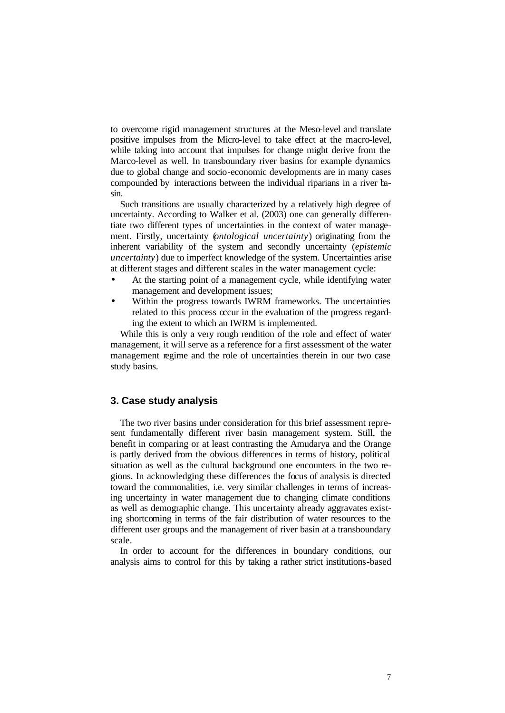to overcome rigid management structures at the Meso-level and translate positive impulses from the Micro-level to take effect at the macro-level, while taking into account that impulses for change might derive from the Marco-level as well. In transboundary river basins for example dynamics due to global change and socio-economic developments are in many cases compounded by interactions between the individual riparians in a river basin.

Such transitions are usually characterized by a relatively high degree of uncertainty. According to Walker et al. (2003) one can generally differentiate two different types of uncertainties in the context of water management. Firstly, uncertainty (*ontological uncertainty*) originating from the inherent variability of the system and secondly uncertainty (*epistemic uncertainty*) due to imperfect knowledge of the system. Uncertainties arise at different stages and different scales in the water management cycle:

- At the starting point of a management cycle, while identifying water management and development issues;
- Within the progress towards IWRM frameworks. The uncertainties related to this process occur in the evaluation of the progress regarding the extent to which an IWRM is implemented.

While this is only a very rough rendition of the role and effect of water management, it will serve as a reference for a first assessment of the water management regime and the role of uncertainties therein in our two case study basins.

### **3. Case study analysis**

The two river basins under consideration for this brief assessment represent fundamentally different river basin management system. Still, the benefit in comparing or at least contrasting the Amudarya and the Orange is partly derived from the obvious differences in terms of history, political situation as well as the cultural background one encounters in the two regions. In acknowledging these differences the focus of analysis is directed toward the commonalities, i.e. very similar challenges in terms of increasing uncertainty in water management due to changing climate conditions as well as demographic change. This uncertainty already aggravates existing shortcoming in terms of the fair distribution of water resources to the different user groups and the management of river basin at a transboundary scale.

In order to account for the differences in boundary conditions, our analysis aims to control for this by taking a rather strict institutions-based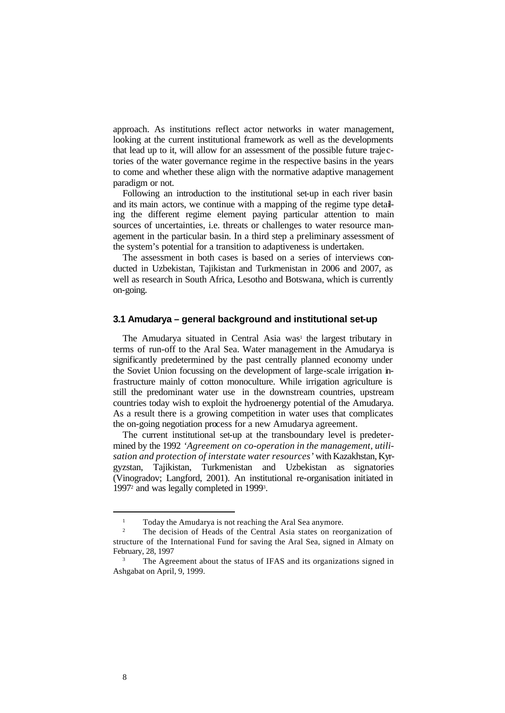approach. As institutions reflect actor networks in water management, looking at the current institutional framework as well as the developments that lead up to it, will allow for an assessment of the possible future trajectories of the water governance regime in the respective basins in the years to come and whether these align with the normative adaptive management paradigm or not.

Following an introduction to the institutional set-up in each river basin and its main actors, we continue with a mapping of the regime type detailing the different regime element paying particular attention to main sources of uncertainties, i.e. threats or challenges to water resource management in the particular basin. In a third step a preliminary assessment of the system's potential for a transition to adaptiveness is undertaken.

The assessment in both cases is based on a series of interviews conducted in Uzbekistan, Tajikistan and Turkmenistan in 2006 and 2007, as well as research in South Africa, Lesotho and Botswana, which is currently on-going.

### **3.1 Amudarya – general background and institutional set-up**

The Amudarya situated in Central Asia was<sup>1</sup> the largest tributary in terms of run-off to the Aral Sea. Water management in the Amudarya is significantly predetermined by the past centrally planned economy under the Soviet Union focussing on the development of large-scale irrigation infrastructure mainly of cotton monoculture. While irrigation agriculture is still the predominant water use in the downstream countries, upstream countries today wish to exploit the hydroenergy potential of the Amudarya. As a result there is a growing competition in water uses that complicates the on-going negotiation process for a new Amudarya agreement.

The current institutional set-up at the transboundary level is predetermined by the 1992 *'Agreement on co-operation in the management, utilisation and protection of interstate water resources'* with Kazakhstan, Kyrgyzstan, Tajikistan, Turkmenistan and Uzbekistan as signatories (Vinogradov; Langford, 2001). An institutional re-organisation initiated in 1997<sup>2</sup> and was legally completed in 1999<sup>3</sup>.

l

<sup>&</sup>lt;sup>1</sup> Today the Amudarya is not reaching the Aral Sea anymore.

<sup>2</sup> The decision of Heads of the Central Asia states on reorganization of structure of the International Fund for saving the Aral Sea, signed in Almaty on February, 28, 1997

<sup>3</sup> The Agreement about the status of IFAS and its organizations signed in Ashgabat on April, 9, 1999.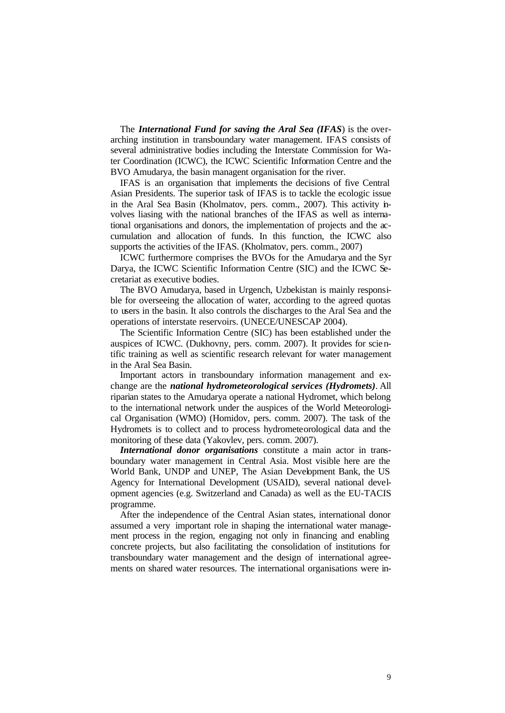The *International Fund for saving the Aral Sea (IFAS*) is the overarching institution in transboundary water management. IFAS consists of several administrative bodies including the Interstate Commission for Water Coordination (ICWC), the ICWC Scientific Information Centre and the BVO Amudarya, the basin managent organisation for the river.

IFAS is an organisation that implements the decisions of five Central Asian Presidents. The superior task of IFAS is to tackle the ecologic issue in the Aral Sea Basin (Kholmatov, pers. comm., 2007). This activity involves liasing with the national branches of the IFAS as well as international organisations and donors, the implementation of projects and the accumulation and allocation of funds. In this function, the ICWC also supports the activities of the IFAS. (Kholmatov, pers. comm., 2007)

ICWC furthermore comprises the BVOs for the Amudarya and the Syr Darya, the ICWC Scientific Information Centre (SIC) and the ICWC Secretariat as executive bodies.

The BVO Amudarya, based in Urgench, Uzbekistan is mainly responsible for overseeing the allocation of water, according to the agreed quotas to users in the basin. It also controls the discharges to the Aral Sea and the operations of interstate reservoirs. (UNECE/UNESCAP 2004).

The Scientific Information Centre (SIC) has been established under the auspices of ICWC. (Dukhovny, pers. comm. 2007). It provides for scientific training as well as scientific research relevant for water management in the Aral Sea Basin.

Important actors in transboundary information management and exchange are the *national hydrometeorological services (Hydromets)*. All riparian states to the Amudarya operate a national Hydromet, which belong to the international network under the auspices of the World Meteorological Organisation (WMO) (Homidov, pers. comm. 2007). The task of the Hydromets is to collect and to process hydrometeorological data and the monitoring of these data (Yakovlev, pers. comm. 2007).

*International donor organisations* constitute a main actor in transboundary water management in Central Asia. Most visible here are the World Bank, UNDP and UNEP, The Asian Development Bank, the US Agency for International Development (USAID), several national development agencies (e.g. Switzerland and Canada) as well as the EU-TACIS programme.

After the independence of the Central Asian states, international donor assumed a very important role in shaping the international water management process in the region, engaging not only in financing and enabling concrete projects, but also facilitating the consolidation of institutions for transboundary water management and the design of international agreements on shared water resources. The international organisations were in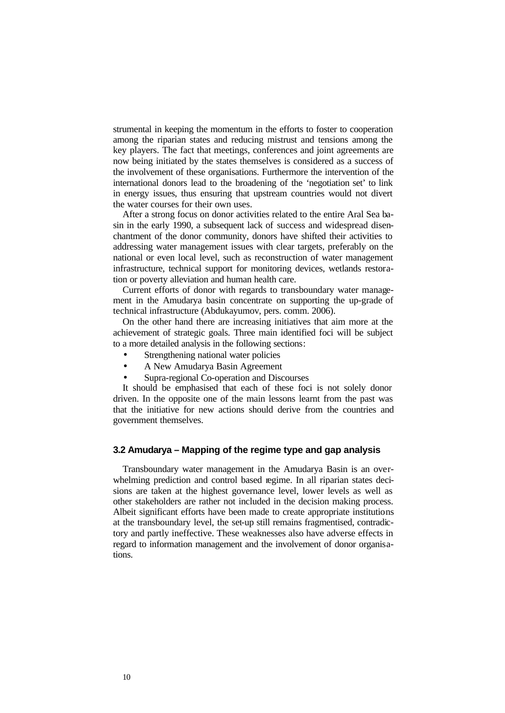strumental in keeping the momentum in the efforts to foster to cooperation among the riparian states and reducing mistrust and tensions among the key players. The fact that meetings, conferences and joint agreements are now being initiated by the states themselves is considered as a success of the involvement of these organisations. Furthermore the intervention of the international donors lead to the broadening of the 'negotiation set' to link in energy issues, thus ensuring that upstream countries would not divert the water courses for their own uses.

After a strong focus on donor activities related to the entire Aral Sea basin in the early 1990, a subsequent lack of success and widespread disenchantment of the donor community, donors have shifted their activities to addressing water management issues with clear targets, preferably on the national or even local level, such as reconstruction of water management infrastructure, technical support for monitoring devices, wetlands restoration or poverty alleviation and human health care.

Current efforts of donor with regards to transboundary water management in the Amudarya basin concentrate on supporting the up-grade of technical infrastructure (Abdukayumov, pers. comm. 2006).

On the other hand there are increasing initiatives that aim more at the achievement of strategic goals. Three main identified foci will be subject to a more detailed analysis in the following sections:

- Strengthening national water policies
- A New Amudarya Basin Agreement
- Supra-regional Co-operation and Discourses

It should be emphasised that each of these foci is not solely donor driven. In the opposite one of the main lessons learnt from the past was that the initiative for new actions should derive from the countries and government themselves.

#### **3.2 Amudarya – Mapping of the regime type and gap analysis**

Transboundary water management in the Amudarya Basin is an overwhelming prediction and control based regime. In all riparian states decisions are taken at the highest governance level, lower levels as well as other stakeholders are rather not included in the decision making process. Albeit significant efforts have been made to create appropriate institutions at the transboundary level, the set-up still remains fragmentised, contradictory and partly ineffective. These weaknesses also have adverse effects in regard to information management and the involvement of donor organisations.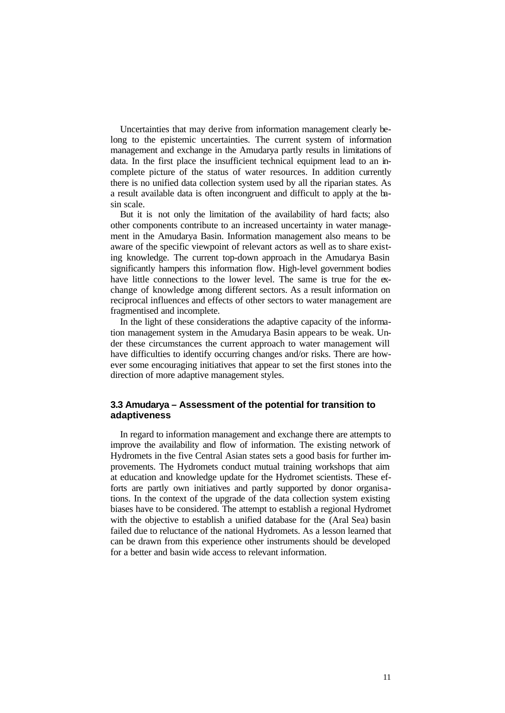Uncertainties that may derive from information management clearly belong to the epistemic uncertainties. The current system of information management and exchange in the Amudarya partly results in limitations of data. In the first place the insufficient technical equipment lead to an incomplete picture of the status of water resources. In addition currently there is no unified data collection system used by all the riparian states. As a result available data is often incongruent and difficult to apply at the basin scale.

But it is not only the limitation of the availability of hard facts; also other components contribute to an increased uncertainty in water management in the Amudarya Basin. Information management also means to be aware of the specific viewpoint of relevant actors as well as to share existing knowledge. The current top-down approach in the Amudarya Basin significantly hampers this information flow. High-level government bodies have little connections to the lower level. The same is true for the exchange of knowledge among different sectors. As a result information on reciprocal influences and effects of other sectors to water management are fragmentised and incomplete.

In the light of these considerations the adaptive capacity of the information management system in the Amudarya Basin appears to be weak. Under these circumstances the current approach to water management will have difficulties to identify occurring changes and/or risks. There are however some encouraging initiatives that appear to set the first stones into the direction of more adaptive management styles.

### **3.3 Amudarya – Assessment of the potential for transition to adaptiveness**

In regard to information management and exchange there are attempts to improve the availability and flow of information. The existing network of Hydromets in the five Central Asian states sets a good basis for further improvements. The Hydromets conduct mutual training workshops that aim at education and knowledge update for the Hydromet scientists. These efforts are partly own initiatives and partly supported by donor organisations. In the context of the upgrade of the data collection system existing biases have to be considered. The attempt to establish a regional Hydromet with the objective to establish a unified database for the (Aral Sea) basin failed due to reluctance of the national Hydromets. As a lesson learned that can be drawn from this experience other instruments should be developed for a better and basin wide access to relevant information.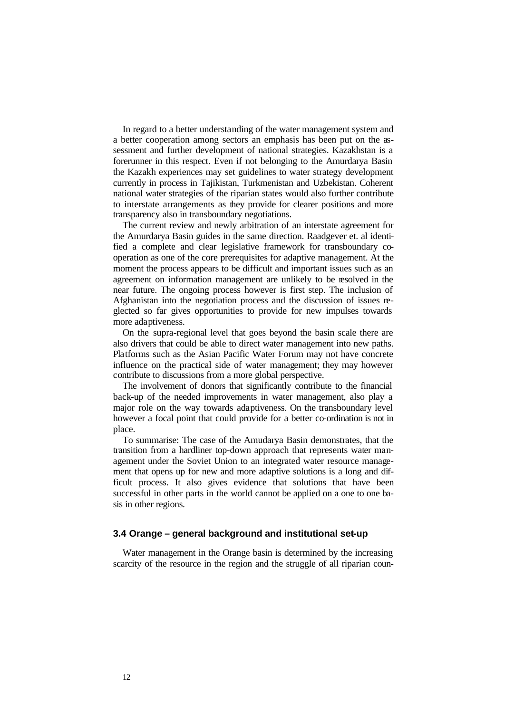In regard to a better understanding of the water management system and a better cooperation among sectors an emphasis has been put on the assessment and further development of national strategies. Kazakhstan is a forerunner in this respect. Even if not belonging to the Amurdarya Basin the Kazakh experiences may set guidelines to water strategy development currently in process in Tajikistan, Turkmenistan and Uzbekistan. Coherent national water strategies of the riparian states would also further contribute to interstate arrangements as they provide for clearer positions and more transparency also in transboundary negotiations.

The current review and newly arbitration of an interstate agreement for the Amurdarya Basin guides in the same direction. Raadgever et. al identified a complete and clear legislative framework for transboundary cooperation as one of the core prerequisites for adaptive management. At the moment the process appears to be difficult and important issues such as an agreement on information management are unlikely to be resolved in the near future. The ongoing process however is first step. The inclusion of Afghanistan into the negotiation process and the discussion of issues neglected so far gives opportunities to provide for new impulses towards more adaptiveness.

On the supra-regional level that goes beyond the basin scale there are also drivers that could be able to direct water management into new paths. Platforms such as the Asian Pacific Water Forum may not have concrete influence on the practical side of water management; they may however contribute to discussions from a more global perspective.

The involvement of donors that significantly contribute to the financial back-up of the needed improvements in water management, also play a major role on the way towards adaptiveness. On the transboundary level however a focal point that could provide for a better co-ordination is not in place.

To summarise: The case of the Amudarya Basin demonstrates, that the transition from a hardliner top-down approach that represents water management under the Soviet Union to an integrated water resource management that opens up for new and more adaptive solutions is a long and difficult process. It also gives evidence that solutions that have been successful in other parts in the world cannot be applied on a one to one basis in other regions.

#### **3.4 Orange – general background and institutional set-up**

Water management in the Orange basin is determined by the increasing scarcity of the resource in the region and the struggle of all riparian coun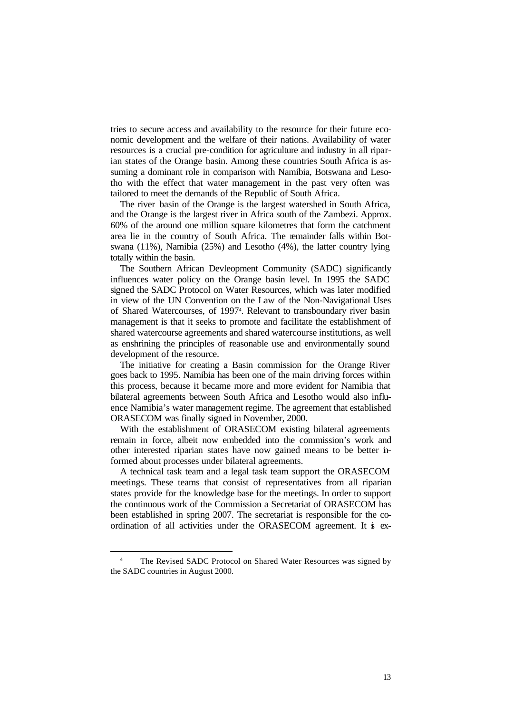tries to secure access and availability to the resource for their future economic development and the welfare of their nations. Availability of water resources is a crucial pre-condition for agriculture and industry in all riparian states of the Orange basin. Among these countries South Africa is assuming a dominant role in comparison with Namibia, Botswana and Lesotho with the effect that water management in the past very often was tailored to meet the demands of the Republic of South Africa.

The river basin of the Orange is the largest watershed in South Africa, and the Orange is the largest river in Africa south of the Zambezi. Approx. 60% of the around one million square kilometres that form the catchment area lie in the country of South Africa. The remainder falls within Botswana (11%), Namibia (25%) and Lesotho (4%), the latter country lying totally within the basin.

The Southern African Devleopment Community (SADC) significantly influences water policy on the Orange basin level. In 1995 the SADC signed the SADC Protocol on Water Resources, which was later modified in view of the UN Convention on the Law of the Non-Navigational Uses of Shared Watercourses, of 1997<sup>4</sup> . Relevant to transboundary river basin management is that it seeks to promote and facilitate the establishment of shared watercourse agreements and shared watercourse institutions, as well as enshrining the principles of reasonable use and environmentally sound development of the resource.

The initiative for creating a Basin commission for the Orange River goes back to 1995. Namibia has been one of the main driving forces within this process, because it became more and more evident for Namibia that bilateral agreements between South Africa and Lesotho would also influence Namibia's water management regime. The agreement that established ORASECOM was finally signed in November, 2000.

With the establishment of ORASECOM existing bilateral agreements remain in force, albeit now embedded into the commission's work and other interested riparian states have now gained means to be better informed about processes under bilateral agreements.

A technical task team and a legal task team support the ORASECOM meetings. These teams that consist of representatives from all riparian states provide for the knowledge base for the meetings. In order to support the continuous work of the Commission a Secretariat of ORASECOM has been established in spring 2007. The secretariat is responsible for the coordination of all activities under the ORASECOM agreement. It is ex-

l

<sup>4</sup> The Revised SADC Protocol on Shared Water Resources was signed by the SADC countries in August 2000.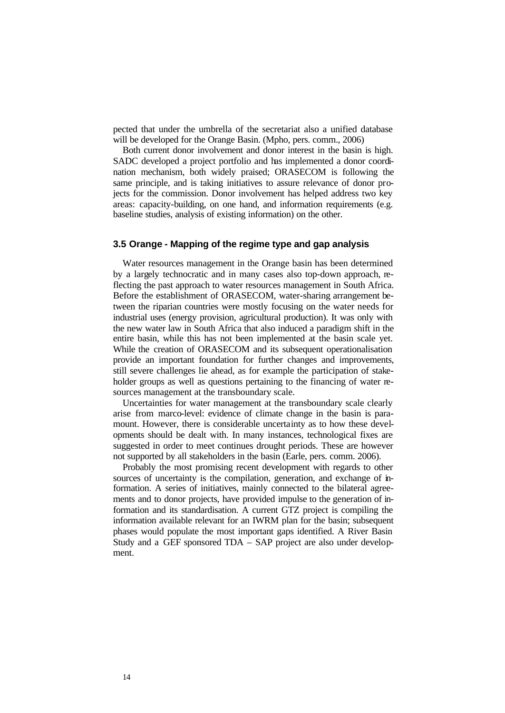pected that under the umbrella of the secretariat also a unified database will be developed for the Orange Basin. (Mpho, pers. comm., 2006)

Both current donor involvement and donor interest in the basin is high. SADC developed a project portfolio and has implemented a donor coordination mechanism, both widely praised; ORASECOM is following the same principle, and is taking initiatives to assure relevance of donor projects for the commission. Donor involvement has helped address two key areas: capacity-building, on one hand, and information requirements (e.g. baseline studies, analysis of existing information) on the other.

#### **3.5 Orange - Mapping of the regime type and gap analysis**

Water resources management in the Orange basin has been determined by a largely technocratic and in many cases also top-down approach, reflecting the past approach to water resources management in South Africa. Before the establishment of ORASECOM, water-sharing arrangement between the riparian countries were mostly focusing on the water needs for industrial uses (energy provision, agricultural production). It was only with the new water law in South Africa that also induced a paradigm shift in the entire basin, while this has not been implemented at the basin scale yet. While the creation of ORASECOM and its subsequent operationalisation provide an important foundation for further changes and improvements, still severe challenges lie ahead, as for example the participation of stakeholder groups as well as questions pertaining to the financing of water resources management at the transboundary scale.

Uncertainties for water management at the transboundary scale clearly arise from marco-level: evidence of climate change in the basin is paramount. However, there is considerable uncertainty as to how these developments should be dealt with. In many instances, technological fixes are suggested in order to meet continues drought periods. These are however not supported by all stakeholders in the basin (Earle, pers. comm. 2006).

Probably the most promising recent development with regards to other sources of uncertainty is the compilation, generation, and exchange of information. A series of initiatives, mainly connected to the bilateral agreements and to donor projects, have provided impulse to the generation of information and its standardisation. A current GTZ project is compiling the information available relevant for an IWRM plan for the basin; subsequent phases would populate the most important gaps identified. A River Basin Study and a GEF sponsored TDA – SAP project are also under development.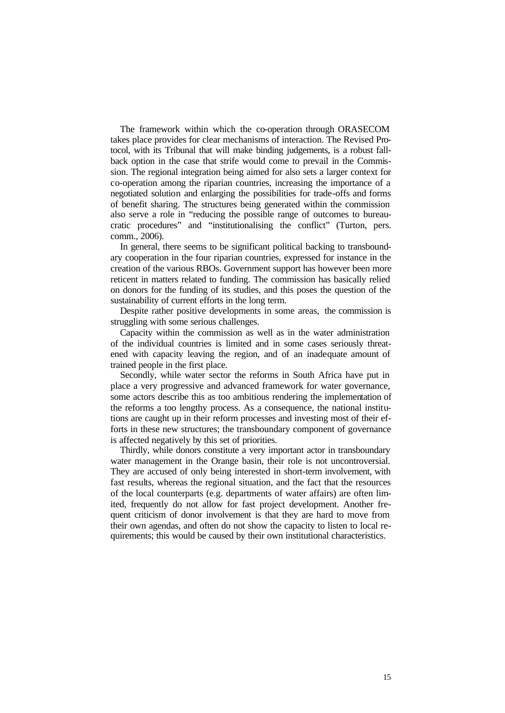The framework within which the co-operation through ORASECOM takes place provides for clear mechanisms of interaction. The Revised Protocol, with its Tribunal that will make binding judgements, is a robust fallback option in the case that strife would come to prevail in the Commission. The regional integration being aimed for also sets a larger context for co-operation among the riparian countries, increasing the importance of a negotiated solution and enlarging the possibilities for trade-offs and forms of benefit sharing. The structures being generated within the commission also serve a role in "reducing the possible range of outcomes to bureaucratic procedures" and "institutionalising the conflict" (Turton, pers. comm., 2006).

In general, there seems to be significant political backing to transboundary cooperation in the four riparian countries, expressed for instance in the creation of the various RBOs. Government support has however been more reticent in matters related to funding. The commission has basically relied on donors for the funding of its studies, and this poses the question of the sustainability of current efforts in the long term.

Despite rather positive developments in some areas, the commission is struggling with some serious challenges.

Capacity within the commission as well as in the water administration of the individual countries is limited and in some cases seriously threatened with capacity leaving the region, and of an inadequate amount of trained people in the first place.

Secondly, while water sector the reforms in South Africa have put in place a very progressive and advanced framework for water governance, some actors describe this as too ambitious rendering the implementation of the reforms a too lengthy process. As a consequence, the national institutions are caught up in their reform processes and investing most of their efforts in these new structures; the transboundary component of governance is affected negatively by this set of priorities.

Thirdly, while donors constitute a very important actor in transboundary water management in the Orange basin, their role is not uncontroversial. They are accused of only being interested in short-term involvement, with fast results, whereas the regional situation, and the fact that the resources of the local counterparts (e.g. departments of water affairs) are often limited, frequently do not allow for fast project development. Another frequent criticism of donor involvement is that they are hard to move from their own agendas, and often do not show the capacity to listen to local requirements; this would be caused by their own institutional characteristics.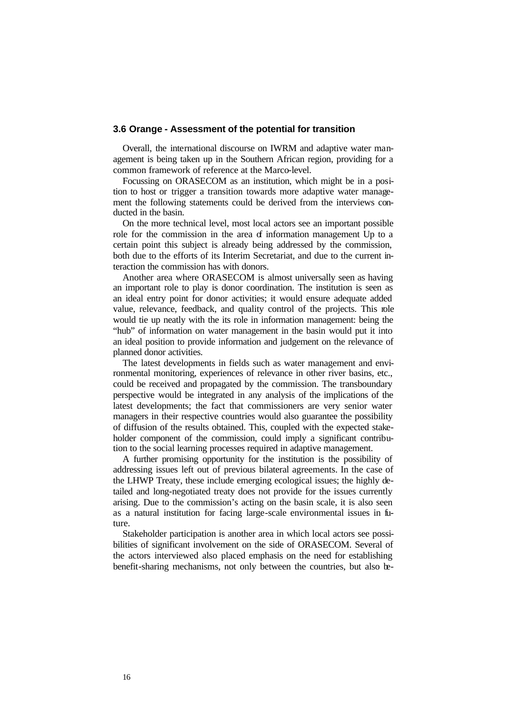#### **3.6 Orange - Assessment of the potential for transition**

Overall, the international discourse on IWRM and adaptive water management is being taken up in the Southern African region, providing for a common framework of reference at the Marco-level.

Focussing on ORASECOM as an institution, which might be in a position to host or trigger a transition towards more adaptive water management the following statements could be derived from the interviews conducted in the basin.

On the more technical level, most local actors see an important possible role for the commission in the area of information management Up to a certain point this subject is already being addressed by the commission, both due to the efforts of its Interim Secretariat, and due to the current interaction the commission has with donors.

Another area where ORASECOM is almost universally seen as having an important role to play is donor coordination. The institution is seen as an ideal entry point for donor activities; it would ensure adequate added value, relevance, feedback, and quality control of the projects. This role would tie up neatly with the its role in information management: being the "hub" of information on water management in the basin would put it into an ideal position to provide information and judgement on the relevance of planned donor activities.

The latest developments in fields such as water management and environmental monitoring, experiences of relevance in other river basins, etc., could be received and propagated by the commission. The transboundary perspective would be integrated in any analysis of the implications of the latest developments; the fact that commissioners are very senior water managers in their respective countries would also guarantee the possibility of diffusion of the results obtained. This, coupled with the expected stakeholder component of the commission, could imply a significant contribution to the social learning processes required in adaptive management.

A further promising opportunity for the institution is the possibility of addressing issues left out of previous bilateral agreements. In the case of the LHWP Treaty, these include emerging ecological issues; the highly detailed and long-negotiated treaty does not provide for the issues currently arising. Due to the commission's acting on the basin scale, it is also seen as a natural institution for facing large-scale environmental issues in future.

Stakeholder participation is another area in which local actors see possibilities of significant involvement on the side of ORASECOM. Several of the actors interviewed also placed emphasis on the need for establishing benefit-sharing mechanisms, not only between the countries, but also be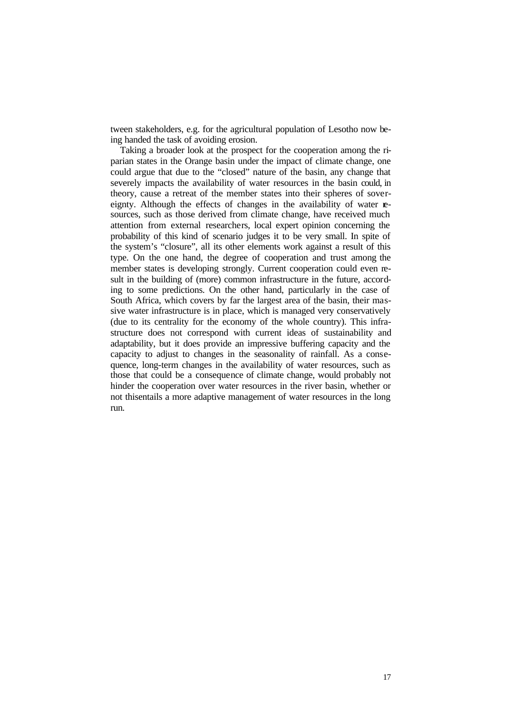tween stakeholders, e.g. for the agricultural population of Lesotho now being handed the task of avoiding erosion.

Taking a broader look at the prospect for the cooperation among the riparian states in the Orange basin under the impact of climate change, one could argue that due to the "closed" nature of the basin, any change that severely impacts the availability of water resources in the basin could, in theory, cause a retreat of the member states into their spheres of sovereignty. Although the effects of changes in the availability of water **re**sources, such as those derived from climate change, have received much attention from external researchers, local expert opinion concerning the probability of this kind of scenario judges it to be very small. In spite of the system's "closure", all its other elements work against a result of this type. On the one hand, the degree of cooperation and trust among the member states is developing strongly. Current cooperation could even result in the building of (more) common infrastructure in the future, according to some predictions. On the other hand, particularly in the case of South Africa, which covers by far the largest area of the basin, their massive water infrastructure is in place, which is managed very conservatively (due to its centrality for the economy of the whole country). This infrastructure does not correspond with current ideas of sustainability and adaptability, but it does provide an impressive buffering capacity and the capacity to adjust to changes in the seasonality of rainfall. As a consequence, long-term changes in the availability of water resources, such as those that could be a consequence of climate change, would probably not hinder the cooperation over water resources in the river basin, whether or not thisentails a more adaptive management of water resources in the long run.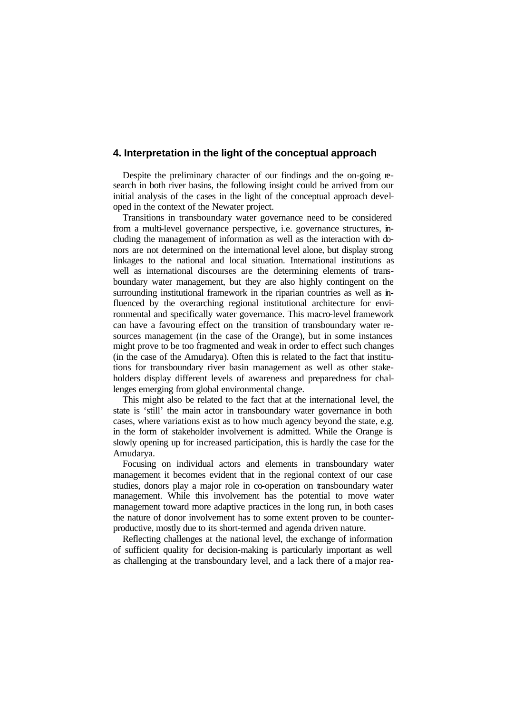### **4. Interpretation in the light of the conceptual approach**

Despite the preliminary character of our findings and the on-going research in both river basins, the following insight could be arrived from our initial analysis of the cases in the light of the conceptual approach developed in the context of the Newater project.

Transitions in transboundary water governance need to be considered from a multi-level governance perspective, i.e. governance structures, including the management of information as well as the interaction with donors are not determined on the international level alone, but display strong linkages to the national and local situation. International institutions as well as international discourses are the determining elements of transboundary water management, but they are also highly contingent on the surrounding institutional framework in the riparian countries as well as influenced by the overarching regional institutional architecture for environmental and specifically water governance. This macro-level framework can have a favouring effect on the transition of transboundary water resources management (in the case of the Orange), but in some instances might prove to be too fragmented and weak in order to effect such changes (in the case of the Amudarya). Often this is related to the fact that institutions for transboundary river basin management as well as other stakeholders display different levels of awareness and preparedness for challenges emerging from global environmental change.

This might also be related to the fact that at the international level, the state is 'still' the main actor in transboundary water governance in both cases, where variations exist as to how much agency beyond the state, e.g. in the form of stakeholder involvement is admitted. While the Orange is slowly opening up for increased participation, this is hardly the case for the Amudarya.

Focusing on individual actors and elements in transboundary water management it becomes evident that in the regional context of our case studies, donors play a major role in co-operation on transboundary water management. While this involvement has the potential to move water management toward more adaptive practices in the long run, in both cases the nature of donor involvement has to some extent proven to be counterproductive, mostly due to its short-termed and agenda driven nature.

Reflecting challenges at the national level, the exchange of information of sufficient quality for decision-making is particularly important as well as challenging at the transboundary level, and a lack there of a major rea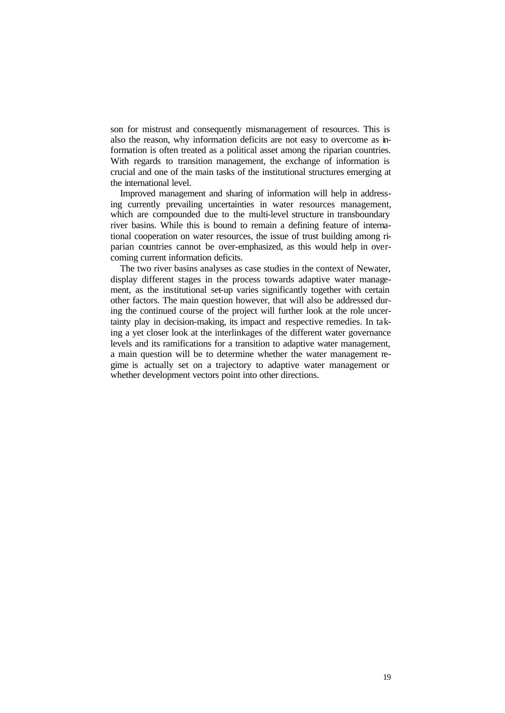son for mistrust and consequently mismanagement of resources. This is also the reason, why information deficits are not easy to overcome as information is often treated as a political asset among the riparian countries. With regards to transition management, the exchange of information is crucial and one of the main tasks of the institutional structures emerging at the international level.

Improved management and sharing of information will help in addressing currently prevailing uncertainties in water resources management, which are compounded due to the multi-level structure in transboundary river basins. While this is bound to remain a defining feature of international cooperation on water resources, the issue of trust building among riparian countries cannot be over-emphasized, as this would help in overcoming current information deficits.

The two river basins analyses as case studies in the context of Newater, display different stages in the process towards adaptive water management, as the institutional set-up varies significantly together with certain other factors. The main question however, that will also be addressed during the continued course of the project will further look at the role uncertainty play in decision-making, its impact and respective remedies. In taking a yet closer look at the interlinkages of the different water governance levels and its ramifications for a transition to adaptive water management, a main question will be to determine whether the water management regime is actually set on a trajectory to adaptive water management or whether development vectors point into other directions.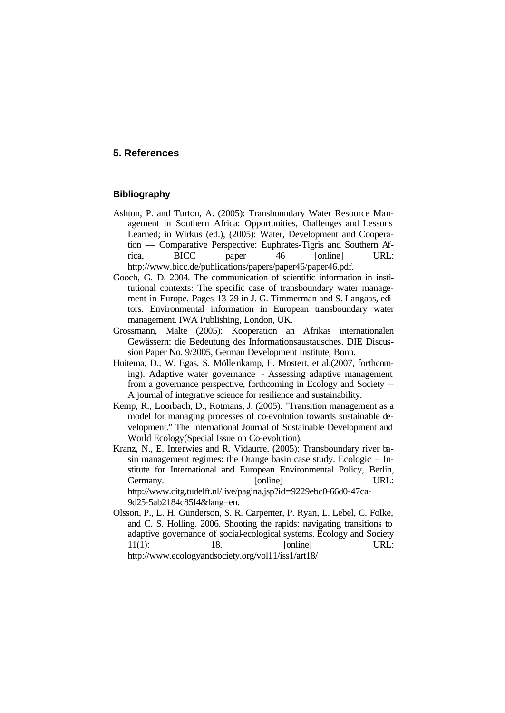### **5. References**

### **Bibliography**

- Ashton, P. and Turton, A. (2005): Transboundary Water Resource Management in Southern Africa: Opportunities, Challenges and Lessons Learned; in Wirkus (ed.), (2005): Water, Development and Cooperation — Comparative Perspective: Euphrates-Tigris and Southern Africa, BICC paper 46 [online] URL: http://www.bicc.de/publications/papers/paper46/paper46.pdf.
- Gooch, G. D. 2004. The communication of scientific information in institutional contexts: The specific case of transboundary water management in Europe. Pages 13-29 in J. G. Timmerman and S. Langaas, editors. Environmental information in European transboundary water management. IWA Publishing, London, UK.
- Grossmann, Malte (2005): Kooperation an Afrikas internationalen Gewässern: die Bedeutung des Informationsaustausches. DIE Discussion Paper No. 9/2005, German Development Institute, Bonn.
- Huitema, D., W. Egas, S. Möllenkamp, E. Mostert, et al.(2007, forthcoming). Adaptive water governance - Assessing adaptive management from a governance perspective, forthcoming in Ecology and Society – A journal of integrative science for resilience and sustainability.
- Kemp, R., Loorbach, D., Rotmans, J. (2005). "Transition management as a model for managing processes of co-evolution towards sustainable development." The International Journal of Sustainable Development and World Ecology(Special Issue on Co-evolution).
- Kranz, N., E. Interwies and R. Vidaurre. (2005): Transboundary river basin management regimes: the Orange basin case study. Ecologic – Institute for International and European Environmental Policy, Berlin, Germany. [online] URL: http://www.citg.tudelft.nl/live/pagina.jsp?id=9229ebc0-66d0-47ca-9d25-5ab2184c85f4&lang=en.
- Olsson, P., L. H. Gunderson, S. R. Carpenter, P. Ryan, L. Lebel, C. Folke, and C. S. Holling. 2006. Shooting the rapids: navigating transitions to adaptive governance of social-ecological systems. Ecology and Society 11(1): 18. [online] URL: http://www.ecologyandsociety.org/vol11/iss1/art18/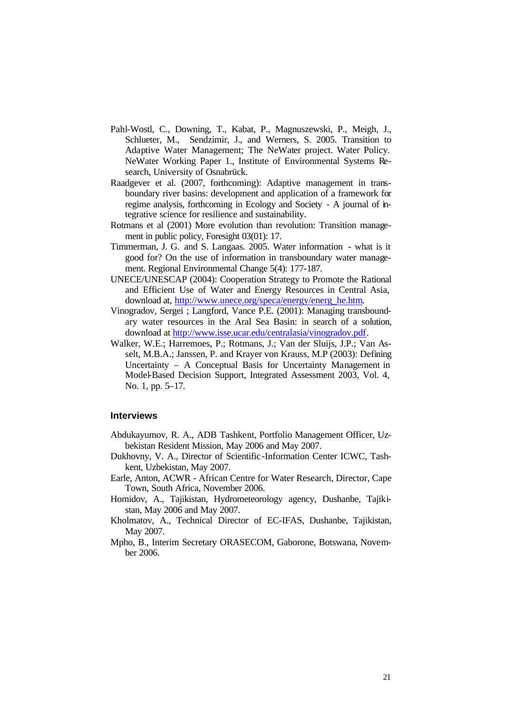- Pahl-Wostl, C., Downing, T., Kabat, P., Magnuszewski, P., Meigh, J., Schlueter, M., Sendzimir, J., and Werners, S. 2005. Transition to Adaptive Water Management; The NeWater project. Water Policy. NeWater Working Paper 1., Institute of Environmental Systems Research, University of Osnabrück.
- Raadgever et al. (2007, forthcoming): Adaptive management in transboundary river basins: development and application of a framework for regime analysis, forthcoming in Ecology and Society - A journal of integrative science for resilience and sustainability.
- Rotmans et al (2001) More evolution than revolution: Transition management in public policy, Foresight 03(01): 17.
- Timmerman, J. G. and S. Langaas. 2005. Water information what is it good for? On the use of information in transboundary water management. Regional Environmental Change 5(4): 177-187.
- UNECE/UNESCAP (2004): Cooperation Strategy to Promote the Rational and Efficient Use of Water and Energy Resources in Central Asia, download at, http://www.unece.org/speca/energy/energ\_he.htm.
- Vinogradov, Sergei ; Langford, Vance P.E. (2001): Managing transboundary water resources in the Aral Sea Basin: in search of a solution, download at http://www.isse.ucar.edu/centralasia/vinogradov.pdf.
- Walker, W.E.; Harremoes, P.; Rotmans, J.; Van der Sluijs, J.P.; Van Asselt, M.B.A.; Janssen, P. and Krayer von Krauss, M.P (2003): Defining Uncertainty – A Conceptual Basis for Uncertainty Management in Model-Based Decision Support, Integrated Assessment 2003, Vol. 4, No. 1, pp. 5–17.

#### **Interviews**

- Abdukayumov, R. A., ADB Tashkent, Portfolio Management Officer, Uzbekistan Resident Mission, May 2006 and May 2007.
- Dukhovny, V. A., Director of Scientific -Information Center ICWC, Tashkent, Uzbekistan, May 2007.
- Earle, Anton, ACWR African Centre for Water Research, Director, Cape Town, South Africa, November 2006.
- Homidov, A., Tajikistan, Hydrometeorology agency, Dushanbe, Tajikistan, May 2006 and May 2007.
- Kholmatov, A., Technical Director of EC-IFAS, Dushanbe, Tajikistan, May 2007.
- Mpho, B., Interim Secretary ORASECOM, Gaborone, Botswana, November 2006.